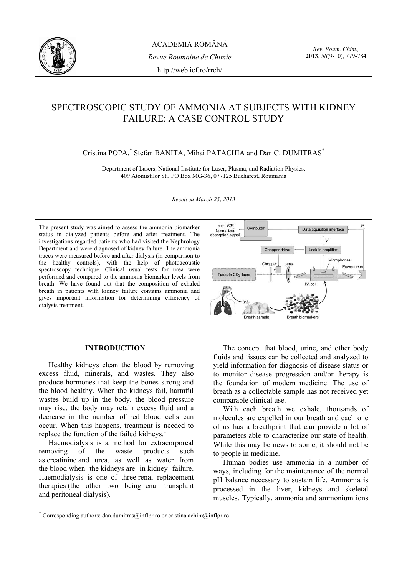

*Rev. Roum. Chim.,*  **2013**, *58*(9-10), 779-784

# SPECTROSCOPIC STUDY OF AMMONIA AT SUBJECTS WITH KIDNEY FAILURE: A CASE CONTROL STUDY

# Cristina POPA,\* Stefan BANITA, Mihai PATACHIA and Dan C. DUMITRAS\*

Department of Lasers, National Institute for Laser, Plasma, and Radiation Physics, 409 Atomistilor St., PO Box MG-36, 077125 Bucharest, Roumania

*Received March 25*, *2013* 

The present study was aimed to assess the ammonia biomarker status in dialyzed patients before and after treatment. The investigations regarded patients who had visited the Nephrology Department and were diagnosed of kidney failure. The ammonia traces were measured before and after dialysis (in comparison to the healthy controls), with the help of photoacoustic spectroscopy technique. Clinical usual tests for urea were performed and compared to the ammonia biomarker levels from breath. We have found out that the composition of exhaled breath in patients with kidney failure contains ammonia and gives important information for determining efficiency of dialysis treatment.



## **INTRODUCTION\***

 Healthy kidneys clean the blood by removing excess fluid, minerals, and wastes. They also produce hormones that keep the bones strong and the blood healthy. When the kidneys fail, harmful wastes build up in the body, the blood pressure may rise, the body may retain excess fluid and a decrease in the number of red blood cells can occur. When this happens, treatment is needed to replace the function of the failed kidneys.<sup>1</sup>

 Haemodialysis is a method for extracorporeal removing of the waste products such as creatinine and urea, as well as water from the blood when the kidneys are in kidney failure. Haemodialysis is one of three renal replacement therapies (the other two being renal transplant and peritoneal dialysis).

 The concept that blood, urine, and other body fluids and tissues can be collected and analyzed to yield information for diagnosis of disease status or to monitor disease progression and/or therapy is the foundation of modern medicine. The use of breath as a collectable sample has not received yet comparable clinical use.

 With each breath we exhale, thousands of molecules are expelled in our breath and each one of us has a breathprint that can provide a lot of parameters able to characterize our state of health. While this may be news to some, it should not be to people in medicine.

 Human bodies use ammonia in a number of ways, including for the maintenance of the normal pH balance necessary to sustain life. Ammonia is processed in the liver, kidneys and skeletal muscles. Typically, ammonia and ammonium ions

 \* Corresponding authors: dan.dumitras@inflpr.ro or cristina.achim@inflpr.ro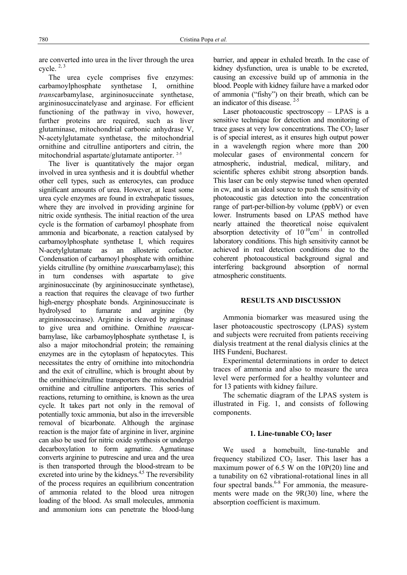are converted into urea in the liver through the urea cycle. 2, 3

 The urea cycle comprises five enzymes: carbamoylphosphate synthetase I, ornithine *trans*carbamylase, argininosuccinate synthetase, argininosuccinatelyase and arginase. For efficient functioning of the pathway in vivo, however, further proteins are required, such as liver glutaminase, mitochondrial carbonic anhydrase V, N-acetylglutamate synthetase, the mitochondrial ornithine and citrulline antiporters and citrin, the mitochondrial aspartate/glutamate antiporter. 2-5

The liver is quantitatively the major organ involved in urea synthesis and it is doubtful whether other cell types, such as enterocytes, can produce significant amounts of urea. However, at least some urea cycle enzymes are found in extrahepatic tissues, where they are involved in providing arginine for nitric oxide synthesis. The initial reaction of the urea cycle is the formation of carbamoyl phosphate from ammonia and bicarbonate, a reaction catalysed by carbamoylphosphate synthetase I, which requires N-acetylglutamate as an allosteric cofactor. Condensation of carbamoyl phosphate with ornithine yields citrulline (by ornithine *trans*carbamylase); this in turn condenses with aspartate to give argininosuccinate (by argininosuccinate synthetase), a reaction that requires the cleavage of two further high-energy phosphate bonds. Argininosuccinate is hydrolysed to fumarate and arginine (by argininosuccinase). Arginine is cleaved by arginase to give urea and ornithine. Ornithine *trans*carbamylase, like carbamoylphosphate synthetase I, is also a major mitochondrial protein; the remaining enzymes are in the cytoplasm of hepatocytes. This necessitates the entry of ornithine into mitochondria and the exit of citrulline, which is brought about by the ornithine/citrulline transporters the mitochondrial ornithine and citrulline antiporters. This series of reactions, returning to ornithine, is known as the urea cycle. It takes part not only in the removal of potentially toxic ammonia, but also in the irreversible removal of bicarbonate. Although the arginase reaction is the major fate of arginine in liver, arginine can also be used for nitric oxide synthesis or undergo decarboxylation to form agmatine. Agmatinase converts arginine to putrescine and urea and the urea is then transported through the blood-stream to be excreted into urine by the kidneys.<sup>4,5</sup> The reversibility of the process requires an equilibrium concentration of ammonia related to the blood urea nitrogen loading of the blood. As small molecules, ammonia and ammonium ions can penetrate the blood-lung barrier, and appear in exhaled breath. In the case of kidney dysfunction, urea is unable to be excreted, causing an excessive build up of ammonia in the blood. People with kidney failure have a marked odor of ammonia ("fishy") on their breath, which can be an indicator of this disease. 2-5

 Laser photoacoustic spectroscopy – LPAS is a sensitive technique for detection and monitoring of trace gases at very low concentrations. The  $CO<sub>2</sub>$  laser is of special interest, as it ensures high output power in a wavelength region where more than 200 molecular gases of environmental concern for atmospheric, industrial, medical, military, and scientific spheres exhibit strong absorption bands. This laser can be only stepwise tuned when operated in cw, and is an ideal source to push the sensitivity of photoacoustic gas detection into the concentration range of part-per-billion-by volume (ppbV) or even lower. Instruments based on LPAS method have nearly attained the theoretical noise equivalent absorption detectivity of  $10^{-10}$ cm<sup>-1</sup> in controlled laboratory conditions. This high sensitivity cannot be achieved in real detection conditions due to the coherent photoacoustical background signal and interfering background absorption of normal atmospheric constituents.

## **RESULTS AND DISCUSSION**

 Ammonia biomarker was measured using the laser photoacoustic spectroscopy (LPAS) system and subjects were recruited from patients receiving dialysis treatment at the renal dialysis clinics at the IHS Fundeni, Bucharest.

 Experimental determinations in order to detect traces of ammonia and also to measure the urea level were performed for a healthy volunteer and for 13 patients with kidney failure.

 The schematic diagram of the LPAS system is illustrated in Fig. 1, and consists of following components.

#### 1. Line-tunable CO<sub>2</sub> laser

 We used a homebuilt, line-tunable and frequency stabilized  $CO<sub>2</sub>$  laser. This laser has a maximum power of 6.5 W on the 10P(20) line and a tunability on 62 vibrational-rotational lines in all four spectral bands. $6-8$  For ammonia, the measurements were made on the 9R(30) line, where the absorption coefficient is maximum.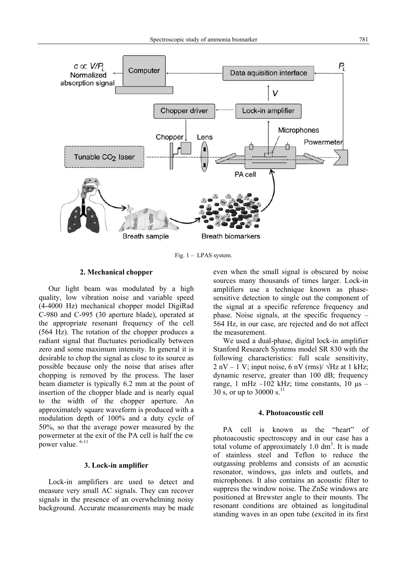

Fig. 1 – LPAS system.

# **2. Mechanical chopper**

 Our light beam was modulated by a high quality, low vibration noise and variable speed (4-4000 Hz) mechanical chopper model DigiRad C-980 and C-995 (30 aperture blade), operated at the appropriate resonant frequency of the cell (564 Hz). The rotation of the chopper produces a radiant signal that fluctuates periodically between zero and some maximum intensity. In general it is desirable to chop the signal as close to its source as possible because only the noise that arises after chopping is removed by the process. The laser beam diameter is typically 6.2 mm at the point of insertion of the chopper blade and is nearly equal to the width of the chopper aperture. An approximately square waveform is produced with a modulation depth of 100% and a duty cycle of 50%, so that the average power measured by the powermeter at the exit of the PA cell is half the cw power value. 6-11

# **3. Lock-in amplifier**

 Lock-in amplifiers are used to detect and measure very small AC signals. They can recover signals in the presence of an overwhelming noisy background. Accurate measurements may be made even when the small signal is obscured by noise sources many thousands of times larger. Lock-in amplifiers use a technique known as phasesensitive detection to single out the component of the signal at a specific reference frequency and phase. Noise signals, at the specific frequency – 564 Hz, in our case, are rejected and do not affect the measurement.

 We used a dual-phase, digital lock-in amplifier Stanford Research Systems model SR 830 with the following characteristics: full scale sensitivity,  $2$  nV – 1 V; input noise, 6 nV (rms)/  $\sqrt{Hz}$  at 1 kHz; dynamic reserve, greater than 100 dB; frequency range, 1 mHz  $-102$  kHz; time constants, 10  $\mu$ s – 30 s, or up to 30000 s. $^{11}$ 

#### **4. Photoacoustic cell**

PA cell is known as the "heart" of photoacoustic spectroscopy and in our case has a total volume of approximately  $1.0 \text{ dm}^3$ . It is made of stainless steel and Teflon to reduce the outgassing problems and consists of an acoustic resonator, windows, gas inlets and outlets, and microphones. It also contains an acoustic filter to suppress the window noise. The ZnSe windows are positioned at Brewster angle to their mounts. The resonant conditions are obtained as longitudinal standing waves in an open tube (excited in its first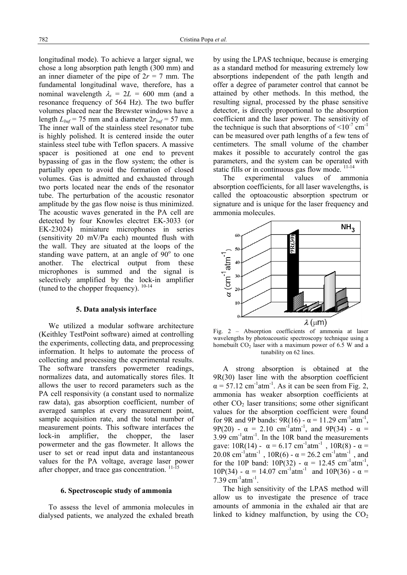longitudinal mode). To achieve a larger signal, we chose a long absorption path length (300 mm) and an inner diameter of the pipe of  $2r = 7$  mm. The fundamental longitudinal wave, therefore, has a nominal wavelength  $\lambda_s = 2L = 600$  mm (and a resonance frequency of 564 Hz). The two buffer volumes placed near the Brewster windows have a length  $L_{buf}$  = 75 mm and a diameter  $2r_{buf}$  = 57 mm. The inner wall of the stainless steel resonator tube is highly polished. It is centered inside the outer stainless steel tube with Teflon spacers. A massive spacer is positioned at one end to prevent bypassing of gas in the flow system; the other is partially open to avoid the formation of closed volumes. Gas is admitted and exhausted through two ports located near the ends of the resonator tube. The perturbation of the acoustic resonator amplitude by the gas flow noise is thus minimized. The acoustic waves generated in the PA cell are detected by four Knowles electret EK-3033 (or EK-23024) miniature microphones in series (sensitivity 20 mV/Pa each) mounted flush with the wall. They are situated at the loops of the standing wave pattern, at an angle of  $90^{\circ}$  to one another. The electrical output from these microphones is summed and the signal is selectively amplified by the lock-in amplifier (tuned to the chopper frequency).  $10-14$ 

#### **5. Data analysis interface**

 We utilized a modular software architecture (Keithley TestPoint software) aimed at controlling the experiments, collecting data, and preprocessing information. It helps to automate the process of collecting and processing the experimental results. The software transfers powermeter readings, normalizes data, and automatically stores files. It allows the user to record parameters such as the PA cell responsivity (a constant used to normalize raw data), gas absorption coefficient, number of averaged samples at every measurement point, sample acquisition rate, and the total number of measurement points. This software interfaces the lock-in amplifier, the chopper, the laser powermeter and the gas flowmeter. It allows the user to set or read input data and instantaneous values for the PA voltage, average laser power after chopper, and trace gas concentration.<sup>11-1</sup>

## **6. Spectroscopic study of ammonia**

 To assess the level of ammonia molecules in dialysed patients, we analyzed the exhaled breath by using the LPAS technique, because is emerging as a standard method for measuring extremely low absorptions independent of the path length and offer a degree of parameter control that cannot be attained by other methods. In this method, the resulting signal, processed by the phase sensitive detector, is directly proportional to the absorption coefficient and the laser power. The sensitivity of the technique is such that absorptions of  $\leq 10^{-7}$  cm<sup>-1</sup> can be measured over path lengths of a few tens of centimeters. The small volume of the chamber makes it possible to accurately control the gas parameters, and the system can be operated with static fills or in continuous gas flow mode.<sup>11-14</sup>

 The experimental values of ammonia absorption coefficients, for all laser wavelengths, is called the optoacoustic absorption spectrum or signature and is unique for the laser frequency and ammonia molecules.



Fig. 2 – Absorption coefficients of ammonia at laser wavelengths by photoacoustic spectroscopy technique using a homebuilt  $CO<sub>2</sub>$  laser with a maximum power of 6.5 W and a tunability on 62 lines.

A strong absorption is obtained at the 9R(30) laser line with the absorption coefficient  $\alpha$  = 57.12 cm<sup>-1</sup>atm<sup>-1</sup>. As it can be seen from Fig. 2, ammonia has weaker absorption coefficients at other  $CO<sub>2</sub>$  laser transitions; some other significant values for the absorption coefficient were found for 9R and 9P bands:  $9R(16) - \alpha = 11.29$  cm<sup>-1</sup>atm<sup>-1</sup>, 9P(20) -  $\alpha$  = 2.10 cm<sup>-1</sup>atm<sup>-1</sup>, and 9P(34) -  $\alpha$  =  $3.99 \text{ cm}^{-1} \text{atm}^{-1}$ . In the 10R band the measurements gave:  $10R(14) - \alpha = 6.17$  cm<sup>-1</sup>atm<sup>-1</sup>,  $10R(8) - \alpha =$  $20.08$  cm<sup>-1</sup>atm<sup>-1</sup>,  $10R(6)$  -  $\alpha$  = 26.2 cm<sup>-1</sup>atm<sup>-1</sup>, and for the 10P band:  $10P(32) - \alpha = 12.45$  cm<sup>-1</sup>atm<sup>-1</sup>, 10P(34) -  $\alpha$  = 14.07 cm<sup>-1</sup>atm<sup>-1</sup> and 10P(36) -  $\alpha$  = 7.39 cm<sup>-1</sup>atm<sup>-1</sup>.

 The high sensitivity of the LPAS method will allow us to investigate the presence of trace amounts of ammonia in the exhaled air that are linked to kidney malfunction, by using the  $CO<sub>2</sub>$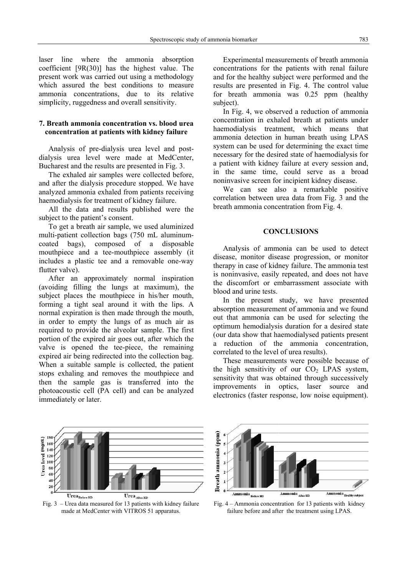laser line where the ammonia absorption coefficient [9R(30)] has the highest value. The present work was carried out using a methodology which assured the best conditions to measure ammonia concentrations, due to its relative simplicity, ruggedness and overall sensitivity.

# **7. Breath ammonia concentration vs. blood urea concentration at patients with kidney failure**

 Analysis of pre-dialysis urea level and postdialysis urea level were made at MedCenter, Bucharest and the results are presented in Fig. 3.

 The exhaled air samples were collected before, and after the dialysis procedure stopped. We have analyzed ammonia exhaled from patients receiving haemodialysis for treatment of kidney failure.

All the data and results published were the subject to the patient's consent.

To get a breath air sample, we used aluminized multi-patient collection bags (750 mL aluminumcoated bags), composed of a disposable mouthpiece and a tee-mouthpiece assembly (it includes a plastic tee and a removable one-way flutter valve).

After an approximately normal inspiration (avoiding filling the lungs at maximum), the subject places the mouthpiece in his/her mouth, forming a tight seal around it with the lips. A normal expiration is then made through the mouth, in order to empty the lungs of as much air as required to provide the alveolar sample. The first portion of the expired air goes out, after which the valve is opened the tee-piece, the remaining expired air being redirected into the collection bag. When a suitable sample is collected, the patient stops exhaling and removes the mouthpiece and then the sample gas is transferred into the photoacoustic cell (PA cell) and can be analyzed immediately or later.

 Experimental measurements of breath ammonia concentrations for the patients with renal failure and for the healthy subject were performed and the results are presented in Fig. 4. The control value for breath ammonia was 0.25 ppm (healthy subject).

In Fig. 4, we observed a reduction of ammonia concentration in exhaled breath at patients under haemodialysis treatment, which means that ammonia detection in human breath using LPAS system can be used for determining the exact time necessary for the desired state of haemodialysis for a patient with kidney failure at every session and, in the same time, could serve as a broad noninvasive screen for incipient kidney disease.

We can see also a remarkable positive correlation between urea data from Fig. 3 and the breath ammonia concentration from Fig. 4.

#### **CONCLUSIONS**

 Analysis of ammonia can be used to detect disease, monitor disease progression, or monitor therapy in case of kidney failure. The ammonia test is noninvasive, easily repeated, and does not have the discomfort or embarrassment associate with blood and urine tests.

In the present study, we have presented absorption measurement of ammonia and we found out that ammonia can be used for selecting the optimum hemodialysis duration for a desired state (our data show that haemodialysed patients present a reduction of the ammonia concentration, correlated to the level of urea results).

These measurements were possible because of the high sensitivity of our  $CO<sub>2</sub>$  LPAS system, sensitivity that was obtained through successively improvements in optics, laser source and electronics (faster response, low noise equipment).

 $\frac{1}{9}$  180<br>  $\frac{1}{9}$  160<br>  $\frac{1}{9}$  140<br>  $\frac{1}{9}$  120<br>  $\frac{1}{9}$  120<br>  $\frac{1}{9}$  100<br>  $\frac{1}{9}$  60<br>  $\frac{1}{9}$  60 Urea After HD  $\bf{Urea}_{\rm{Before\,HD}}$ 

Fig. 3 – Urea data measured for 13 patients with kidney failure made at MedCenter with VITROS 51 apparatus.



Fig. 4 – Ammonia concentration for 13 patients with kidney failure before and after the treatment using LPAS.